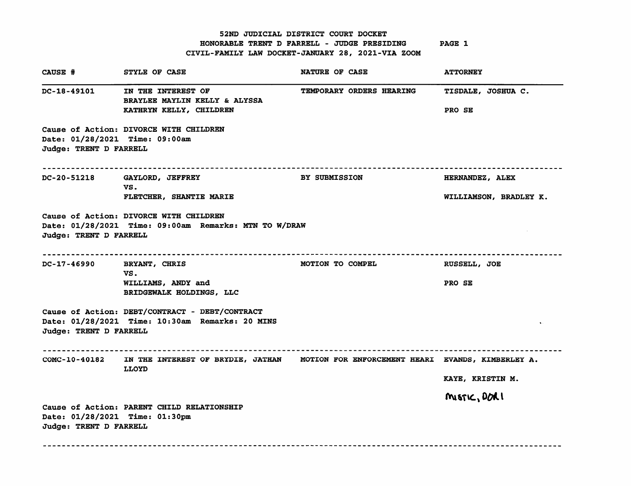52ND JUDICIAL DISTRICT COURT DOCKET HONORABLE TRENT D FARRELL - JUDGE PRESIDING CIVIL-FAMILY LAW DOCKET-JANUARY 28, 2021-VIA ZOOM PAGE 1

| CAUSE #                                                  | STYLE OF CASE                                                                                       | NATURE OF CASE                  | <b>ATTORNEY</b>                           |
|----------------------------------------------------------|-----------------------------------------------------------------------------------------------------|---------------------------------|-------------------------------------------|
| DC-18-49101                                              | IN THE INTEREST OF<br>BRAYLEE MAYLIN KELLY & ALYSSA<br>KATHRYN KELLY, CHILDREN                      | <b>TEMPORARY ORDERS HEARING</b> | <b>TISDALE, JOSHUA C.</b><br>PRO SE       |
| Date: 01/28/2021 Time: 09:00am<br>Judge: TRENT D FARRELL | Cause of Action: DIVORCE WITH CHILDREN                                                              |                                 |                                           |
| DC-20-51218                                              | GAYLORD, JEFFREY<br>VS.<br>FLETCHER, SHANTIE MARIE                                                  | <b>BY SUBMISSION</b>            | HERNANDEZ, ALEX<br>WILLIAMSON, BRADLEY K. |
| Judge: TRENT D FARRELL                                   | Cause of Action: DIVORCE WITH CHILDREN<br>Date: 01/28/2021 Time: 09:00am Remarks: MTN TO W/DRAW     |                                 |                                           |
| DC-17-46990                                              | BRYANT, CHRIS<br>VS.<br>WILLIAMS, ANDY and<br>BRIDGEWALK HOLDINGS, LLC                              | <b>MOTION TO COMPEL</b>         | RUSSELL, JOE<br>PRO SE                    |
| Judge: TRENT D FARRELL                                   | Cause of Action: DEBT/CONTRACT - DEBT/CONTRACT<br>Date: 01/28/2021 Time: 10:30am Remarks: 20 MINS   |                                 |                                           |
| <b>COMC-10-40182</b>                                     | IN THE INTEREST OF BRYDIE, JATHAN MOTION FOR ENFORCEMENT HEARI EVANDS, KIMBERLEY A.<br><b>LLOYD</b> |                                 | KAYE, KRISTIN M.                          |
| Date: 01/28/2021 Time: 01:30pm<br>Judge: TRENT D FARRELL | Cause of Action: PARENT CHILD RELATIONSHIP                                                          |                                 | MISTIC, DORI                              |
|                                                          |                                                                                                     |                                 |                                           |